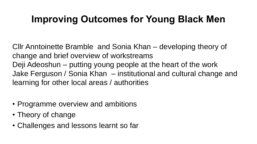### **Improving Outcomes for Young Black Men**

Cllr Anntoinette Bramble and Sonia Khan – developing theory of change and brief overview of workstreams Deji Adeoshun – putting young people at the heart of the work Jake Ferguson / Sonia Khan – institutional and cultural change and learning for other local areas / authorities

- Programme overview and ambitions
- Theory of change
- Challenges and lessons learnt so far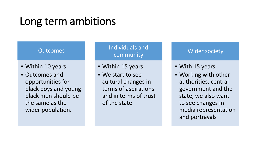## Long term ambitions

#### **Outcomes**

- Within 10 years:
- Outcomes and opportunities for black boys and young black men should be the same as the wider population.

### Individuals and community

- Within 15 years:
- We start to see cultural changes in terms of aspirations and in terms of trust of the state

### Wider society

- With 15 years:
- Working with other authorities, central government and the state, we also want to see changes in media representation and portrayals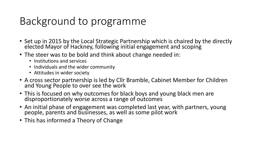## Background to programme

- Set up in 2015 by the Local Strategic Partnership which is chaired by the directly elected Mayor of Hackney, following initial engagement and scoping
- The steer was to be bold and think about change needed in:
	- Institutions and services
	- Individuals and the wider community
	- Attitudes in wider society
- A cross sector partnership is led by Cllr Bramble, Cabinet Member for Children and Young People to over see the work
- This is focused on why outcomes for black boys and young black men are disproportionately worse across a range of outcomes
- An initial phase of engagement was completed last year, with partners, young people, parents and businesses, as well as some pilot work
- This has informed a Theory of Change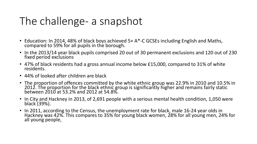# The challenge- a snapshot

- Education: In 2014, 48% of black boys achieved 5+ A\*-C GCSEs including English and Maths, compared to 59% for all pupils in the borough.
- In the 2013/14 year black pupils comprised 20 out of 30 permanent exclusions and 120 out of 230 fixed period exclusions
- 47% of black residents had a gross annual income below £15,000, compared to 31% of white residents.
- 44% of looked after children are black
- The proportion of offences committed by the white ethnic group was 22.9% in 2010 and 10.5% in 2012. The proportion for the black ethnic group is significantly higher and remains fairly static between 2010 at 53.2% and 2012 at 54.8%.
- In City and Hackney in 2013, of 2,691 people with a serious mental health condition, 1,050 were black (39%).
- In 2011, according to the Census, the unemployment rate for black, male 16-24 year olds in Hackney was 42%. This compares to 35% for young black women, 28% for all young men, 24% for all young people,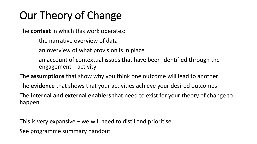# Our Theory of Change

The **context** in which this work operates:

the narrative overview of data

an overview of what provision is in place

an account of contextual issues that have been identified through the engagement activity

The **assumptions** that show why you think one outcome will lead to another The **evidence** that shows that your activities achieve your desired outcomes The **internal and external enablers** that need to exist for your theory of change to happen

This is very expansive – we will need to distil and prioritise See programme summary handout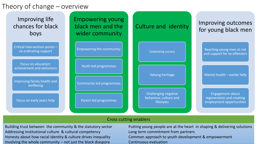### Theory of change – overview



#### Cross cutting enablers

Building trust between the community & the statutory sector Addressing institutional culture & cultural competency Honesty about how racial identity & culture drives inequality Involving the whole community – not just the black diaspora

Putting young people are at the heart in shaping & delivering solutions Long term commitment from partners Common approach to youth development & empowerment Continuous evaluation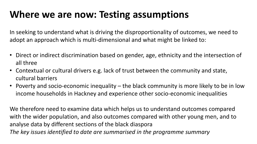### **Where we are now: Testing assumptions**

In seeking to understand what is driving the disproportionality of outcomes, we need to adopt an approach which is multi-dimensional and what might be linked to:

- Direct or indirect discrimination based on gender, age, ethnicity and the intersection of all three
- Contextual or cultural drivers e.g. lack of trust between the community and state, cultural barriers
- Poverty and socio-economic inequality the black community is more likely to be in low income households in Hackney and experience other socio-economic inequalities

We therefore need to examine data which helps us to understand outcomes compared with the wider population, and also outcomes compared with other young men, and to analyse data by different sections of the black diaspora *The key issues identified to date are summarised in the programme summary*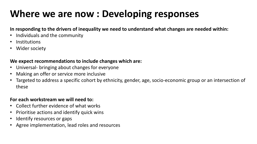## **Where we are now : Developing responses**

#### **In responding to the drivers of inequality we need to understand what changes are needed within:**

- Individuals and the community
- **Institutions**
- Wider society

### **We expect recommendations to include changes which are:**

- Universal- bringing about changes for everyone
- Making an offer or service more inclusive
- Targeted to address a specific cohort by ethnicity, gender, age, socio-economic group or an intersection of these

#### **For each workstream we will need to:**

- Collect further evidence of what works
- Prioritise actions and identify quick wins
- Identify resources or gaps
- Agree implementation, lead roles and resources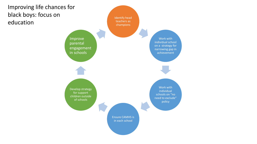

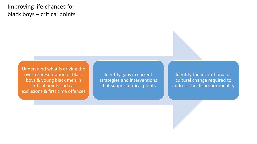### Improving life chances for black boys – critical points

Understand what is driving the over-representation of black boys & young black men in critical points such as exclusions & first time offences

Identify gaps in current strategies and interventions that support critical points

Identify the institutional or cultural change required to address the disproportionality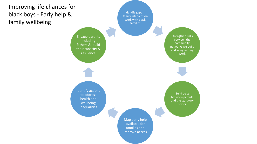

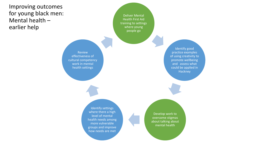### Improving outcomes for young black men: Mental health – earlier help

Deliver Mental Health First Aid training to settings where young people go

Review effectiveness of cultural competency work in mental health settings

Identify good practice examples of using creativity to promote wellbeing and assess what could be applied in Hackney

Identify settings where there a high level of mental health needs among more vulnerable groups and improve how needs are met

Develop work to overcome stigmas about talking about mental health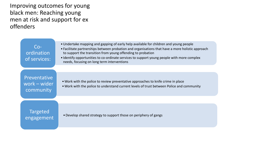Improving outcomes for young black men: Reaching young men at risk and support for ex offenders

| $Co-$<br>ordination<br>of services:              | • Undertake mapping and gapping of early help available for children and young people<br>• Facilitate partnerships between probation and organisations that have a more holistic approach<br>to support the transition from young offending to probation<br>• Identify opportunities to co-ordinate services to support young people with more complex<br>needs, focusing on long term interventions |  |
|--------------------------------------------------|------------------------------------------------------------------------------------------------------------------------------------------------------------------------------------------------------------------------------------------------------------------------------------------------------------------------------------------------------------------------------------------------------|--|
|                                                  |                                                                                                                                                                                                                                                                                                                                                                                                      |  |
| <b>Preventative</b><br>work - wider<br>community | • Work with the police to review preventative approaches to knife crime in place<br>• Work with the police to understand current levels of trust between Police and community                                                                                                                                                                                                                        |  |
|                                                  |                                                                                                                                                                                                                                                                                                                                                                                                      |  |
| <b>Targeted</b><br>engagement                    | • Develop shared strategy to support those on periphery of gangs                                                                                                                                                                                                                                                                                                                                     |  |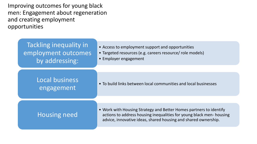Improving outcomes for young black men: Engagement about regeneration and creating employment opportunities

| Tackling inequality in<br>employment outcomes<br>by addressing: | • Access to employment support and opportunities<br>• Targeted resources (e.g. careers resource/ role models)<br>• Employer engagement                                                                      |  |
|-----------------------------------------------------------------|-------------------------------------------------------------------------------------------------------------------------------------------------------------------------------------------------------------|--|
|                                                                 |                                                                                                                                                                                                             |  |
| Local business<br>engagement                                    | • To build links between local communities and local businesses                                                                                                                                             |  |
|                                                                 |                                                                                                                                                                                                             |  |
| <b>Housing need</b>                                             | • Work with Housing Strategy and Better Homes partners to identify<br>actions to address housing inequalities for young black men-housing<br>advice, innovative ideas, shared housing and shared ownership. |  |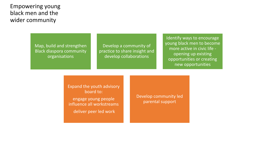### Empowering young black men and the wider community

Map, build and strengthen Black diaspora community organisations

Develop a community of practice to share insight and develop collaborations

Identify ways to encourage young black men to become more active in civic life opening up existing opportunities or creating new opportunities

Expand the youth advisory board to: engage young people influence all workstreams deliver peer led work

Develop community led parental support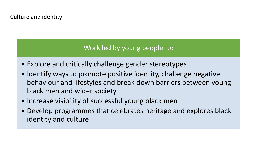### Culture and identity

### Work led by young people to:

- Explore and critically challenge gender stereotypes
- Identify ways to promote positive identity, challenge negative behaviour and lifestyles and break down barriers between young black men and wider society
- Increase visibility of successful young black men
- Develop programmes that celebrates heritage and explores black identity and culture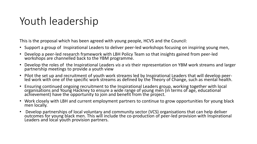# Youth leadership

This is the proposal which has been agreed with young people, HCVS and the Council:

- Support a group of Inspirational Leaders to deliver peer-led workshops focusing on inspiring young men,
- Develop a peer-led research framework with LBH Policy Team so that insights gained from peer-led workshops are channelled back to the YBM programme.
- Develop the roles of the Inspirational Leaders *vis a vis* their representation on YBM work streams and larger partnership meetings to provide a youth view
- Pilot the set up and recruitment of youth work streams led by Inspirational Leaders that will develop peerled work with one of the specific work streams as defined by the Theory of Change, such as mental health.
- Ensuring continued ongoing recruitment to the Inspirational Leaders group, working together with local organisations and Young Hackney to ensure a wide range of young men (in terms of age, educational achievement) have the opportunity to join and benefit from the project.
- Work closely with LBH and current employment partners to continue to grow opportunities for young black men locally.
- Develop partnerships of local voluntary and community sector (VCS) organisations that can help deliver outcomes for young black men. This will include the co-production of peer-led provision with Inspirational Leaders and local youth provision partners.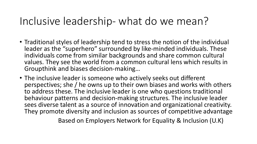### Inclusive leadership- what do we mean?

- Traditional styles of leadership tend to stress the notion of the individual leader as the "superhero" surrounded by like-minded individuals. These individuals come from similar backgrounds and share common cultural values. They see the world from a common cultural lens which results in Groupthink and biases decision-making…
- The inclusive leader is someone who actively seeks out different perspectives; she / he owns up to their own biases and works with others to address these. The inclusive leader is one who questions traditional behaviour patterns and decision-making structures. The inclusive leader sees diverse talent as a source of innovation and organizational creativity. They promote diversity and inclusion as sources of competitive advantage

Based on Employers Network for Equality & Inclusion (U.K)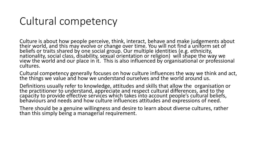## Cultural competency

Culture is about how people perceive, think, interact, behave and make judgements about their world, and this may evolve or change over time. You will not find a uniform set of beliefs or traits shared by one social group. Our multiple identities (e.g. ethnicity, nationality, social class, disability, sexual orientation or religion) will shape the way we view the world and our place in it. This is also influenced by organisational or professional cultures.

Cultural competency generally focuses on how culture influences the way we think and act, the things we value and how we understand ourselves and the world around us.

Definitions usually refer to knowledge, attitudes and skills that allow the organisation or the practitioner to understand, appreciate and respect cultural differences, and to the capacity to provide effective services which takes into account people's cultural beliefs, behaviours and needs and how culture influences attitudes and expressions of need.

There should be a genuine willingness and desire to learn about diverse cultures, rather than this simply being a managerial requirement.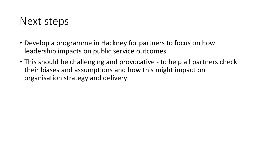### Next steps

- Develop a programme in Hackney for partners to focus on how leadership impacts on public service outcomes
- This should be challenging and provocative to help all partners check their biases and assumptions and how this might impact on organisation strategy and delivery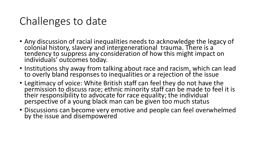## Challenges to date

- Any discussion of racial inequalities needs to acknowledge the legacy of colonial history, slavery and intergenerational trauma. There is a tendency to suppress any consideration of how this might impact on individuals' outcomes today.
- Institutions shy away from talking about race and racism, which can lead to overly bland responses to inequalities or a rejection of the issue
- Legitimacy of voice: White British staff can feel they do not have the permission to discuss race; ethnic minority staff can be made to feel it is their responsibility to advocate for race equality; the individual perspective of a young black man can be given too much status
- Discussions can become very emotive and people can feel overwhelmed by the issue and disempowered